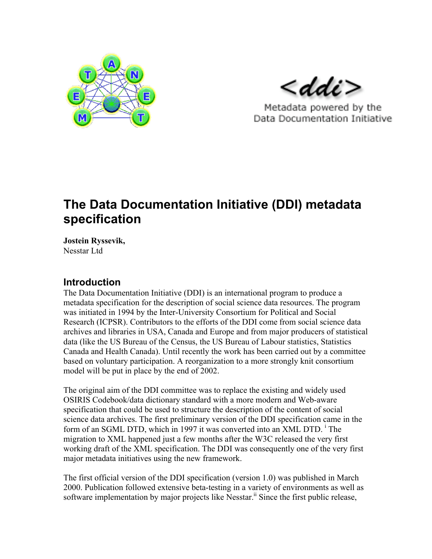

 $<$ ddi $>$ 

Metadata powered by the Data Documentation Initiative

# **The Data Documentation Initiative (DDI) metadata specification**

**Jostein Ryssevik,** Nesstar Ltd

## **Introduction**

The Data Documentation Initiative (DDI) is an international program to produce a metadata specification for the description of social science data resources. The program was initiated in 1994 by the Inter-University Consortium for Political and Social Research (ICPSR). Contributors to the efforts of the DDI come from social science data archives and libraries in USA, Canada and Europe and from major producers of statistical data (like the US Bureau of the Census, the US Bureau of Labour statistics, Statistics Canada and Health Canada). Until recently the work has been carried out by a committee based on voluntary participation. A reorganization to a more strongly knit consortium model will be put in place by the end of 2002.

The original aim of the DDI committee was to replace the existing and widely used OSIRIS Codebook/data dictionary standard with a more modern and Web-aware specification that could be used to structure the description of the content of social science data archives. The first preliminary version of the DDI specification came in the form of an SGML DTD, which in 1997 it was converted into an XML DTD.<sup>1</sup> The migration to XML happened just a few months after the W3C released the very first working draft of the XML specification. The DDI was consequently one of the very first major metadata initiatives using the new framework.

The first official version of the DDI specification (version 1.0) was published in March 2000. Publication followed extensive beta-testing in a variety of environments as well as software implementation by major projects like Nesstar.<sup>ii</sup> Since the first public release,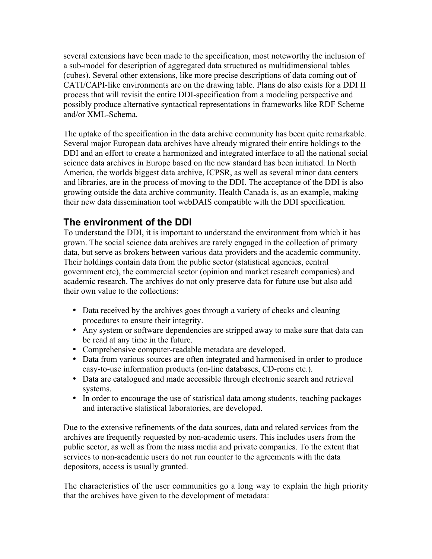several extensions have been made to the specification, most noteworthy the inclusion of a sub-model for description of aggregated data structured as multidimensional tables (cubes). Several other extensions, like more precise descriptions of data coming out of CATI/CAPI-like environments are on the drawing table. Plans do also exists for a DDI II process that will revisit the entire DDI-specification from a modeling perspective and possibly produce alternative syntactical representations in frameworks like RDF Scheme and/or XML-Schema.

The uptake of the specification in the data archive community has been quite remarkable. Several major European data archives have already migrated their entire holdings to the DDI and an effort to create a harmonized and integrated interface to all the national social science data archives in Europe based on the new standard has been initiated. In North America, the worlds biggest data archive, ICPSR, as well as several minor data centers and libraries, are in the process of moving to the DDI. The acceptance of the DDI is also growing outside the data archive community. Health Canada is, as an example, making their new data dissemination tool webDAIS compatible with the DDI specification.

## **The environment of the DDI**

To understand the DDI, it is important to understand the environment from which it has grown. The social science data archives are rarely engaged in the collection of primary data, but serve as brokers between various data providers and the academic community. Their holdings contain data from the public sector (statistical agencies, central government etc), the commercial sector (opinion and market research companies) and academic research. The archives do not only preserve data for future use but also add their own value to the collections:

Data received by the archives goes through a variety of checks and cleaning procedures to ensure their integrity.

Any system or software dependencies are stripped away to make sure that data can be read at any time in the future.

Comprehensive computer-readable metadata are developed.

Data from various sources are often integrated and harmonised in order to produce easy-to-use information products (on-line databases, CD-roms etc.).

Data are catalogued and made accessible through electronic search and retrieval systems.

In order to encourage the use of statistical data among students, teaching packages and interactive statistical laboratories, are developed.

Due to the extensive refinements of the data sources, data and related services from the archives are frequently requested by non-academic users. This includes users from the public sector, as well as from the mass media and private companies. To the extent that services to non-academic users do not run counter to the agreements with the data depositors, access is usually granted.

The characteristics of the user communities go a long way to explain the high priority that the archives have given to the development of metadata: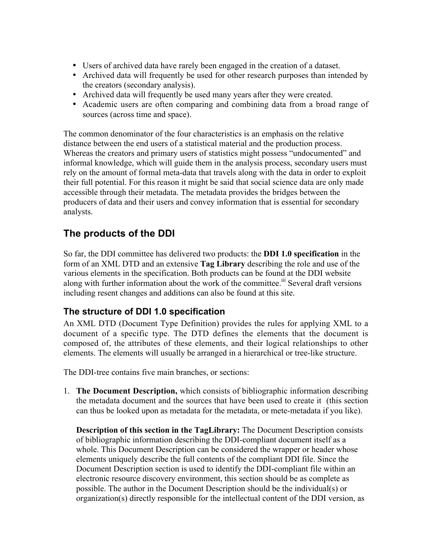Users of archived data have rarely been engaged in the creation of a dataset. Archived data will frequently be used for other research purposes than intended by the creators (secondary analysis). Archived data will frequently be used many years after they were created. Academic users are often comparing and combining data from a broad range of

sources (across time and space).

The common denominator of the four characteristics is an emphasis on the relative distance between the end users of a statistical material and the production process. Whereas the creators and primary users of statistics might possess "undocumented" and informal knowledge, which will guide them in the analysis process, secondary users must rely on the amount of formal meta-data that travels along with the data in order to exploit their full potential. For this reason it might be said that social science data are only made accessible through their metadata. The metadata provides the bridges between the producers of data and their users and convey information that is essential for secondary analysts.

# **The products of the DDI**

So far, the DDI committee has delivered two products: the **DDI 1.0 specification** in the form of an XML DTD and an extensive **Tag Library** describing the role and use of the various elements in the specification. Both products can be found at the DDI website along with further information about the work of the committee.<sup>iii</sup> Several draft versions including resent changes and additions can also be found at this site.

#### **The structure of DDI 1.0 specification**

An XML DTD (Document Type Definition) provides the rules for applying XML to a document of a specific type. The DTD defines the elements that the document is composed of, the attributes of these elements, and their logical relationships to other elements. The elements will usually be arranged in a hierarchical or tree-like structure.

The DDI-tree contains five main branches, or sections:

1. **The Document Description,** which consists of bibliographic information describing the metadata document and the sources that have been used to create it (this section can thus be looked upon as metadata for the metadata, or mete-metadata if you like).

**Description of this section in the TagLibrary:** The Document Description consists of bibliographic information describing the DDI-compliant document itself as a whole. This Document Description can be considered the wrapper or header whose elements uniquely describe the full contents of the compliant DDI file. Since the Document Description section is used to identify the DDI-compliant file within an electronic resource discovery environment, this section should be as complete as possible. The author in the Document Description should be the individual(s) or organization(s) directly responsible for the intellectual content of the DDI version, as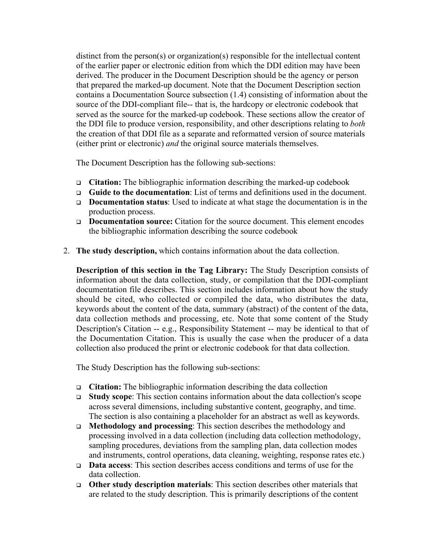distinct from the person(s) or organization(s) responsible for the intellectual content of the earlier paper or electronic edition from which the DDI edition may have been derived. The producer in the Document Description should be the agency or person that prepared the marked-up document. Note that the Document Description section contains a Documentation Source subsection (1.4) consisting of information about the source of the DDI-compliant file-- that is, the hardcopy or electronic codebook that served as the source for the marked-up codebook. These sections allow the creator of the DDI file to produce version, responsibility, and other descriptions relating to *both* the creation of that DDI file as a separate and reformatted version of source materials (either print or electronic) *and* the original source materials themselves.

The Document Description has the following sub-sections:

- <sup>q</sup> **Citation:** The bibliographic information describing the marked-up codebook
- <sup>q</sup> **Guide to the documentation**: List of terms and definitions used in the document.
- <sup>q</sup> **Documentation status**: Used to indicate at what stage the documentation is in the production process.
- <sup>q</sup> **Documentation source:** Citation for the source document. This element encodes the bibliographic information describing the source codebook
- 2. **The study description,** which contains information about the data collection.

**Description of this section in the Tag Library:** The Study Description consists of information about the data collection, study, or compilation that the DDI-compliant documentation file describes. This section includes information about how the study should be cited, who collected or compiled the data, who distributes the data, keywords about the content of the data, summary (abstract) of the content of the data, data collection methods and processing, etc. Note that some content of the Study Description's Citation -- e.g., Responsibility Statement -- may be identical to that of the Documentation Citation. This is usually the case when the producer of a data collection also produced the print or electronic codebook for that data collection.

The Study Description has the following sub-sections:

- <sup>q</sup> **Citation:** The bibliographic information describing the data collection
- <sup>q</sup> **Study scope**: This section contains information about the data collection's scope across several dimensions, including substantive content, geography, and time. The section is also containing a placeholder for an abstract as well as keywords.
- <sup>q</sup> **Methodology and processing**: This section describes the methodology and processing involved in a data collection (including data collection methodology, sampling procedures, deviations from the sampling plan, data collection modes and instruments, control operations, data cleaning, weighting, response rates etc.)
- <sup>q</sup> **Data access**: This section describes access conditions and terms of use for the data collection.
- <sup>q</sup> **Other study description materials**: This section describes other materials that are related to the study description. This is primarily descriptions of the content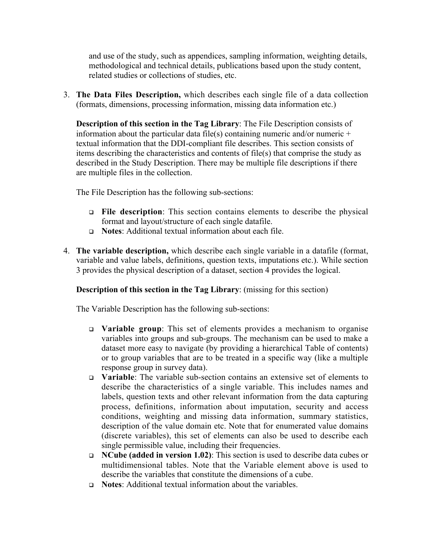and use of the study, such as appendices, sampling information, weighting details, methodological and technical details, publications based upon the study content, related studies or collections of studies, etc.

3. **The Data Files Description,** which describes each single file of a data collection (formats, dimensions, processing information, missing data information etc.)

**Description of this section in the Tag Library**: The File Description consists of information about the particular data file(s) containing numeric and/or numeric  $+$ textual information that the DDI-compliant file describes. This section consists of items describing the characteristics and contents of file(s) that comprise the study as described in the Study Description. There may be multiple file descriptions if there are multiple files in the collection.

The File Description has the following sub-sections:

- <sup>q</sup> **File description**: This section contains elements to describe the physical format and layout/structure of each single datafile.
- <sup>q</sup> **Notes**: Additional textual information about each file.
- 4. **The variable description,** which describe each single variable in a datafile (format, variable and value labels, definitions, question texts, imputations etc.). While section 3 provides the physical description of a dataset, section 4 provides the logical.

**Description of this section in the Tag Library**: (missing for this section)

The Variable Description has the following sub-sections:

- <sup>q</sup> **Variable group**: This set of elements provides a mechanism to organise variables into groups and sub-groups. The mechanism can be used to make a dataset more easy to navigate (by providing a hierarchical Table of contents) or to group variables that are to be treated in a specific way (like a multiple response group in survey data).
- <sup>q</sup> **Variable**: The variable sub-section contains an extensive set of elements to describe the characteristics of a single variable. This includes names and labels, question texts and other relevant information from the data capturing process, definitions, information about imputation, security and access conditions, weighting and missing data information, summary statistics, description of the value domain etc. Note that for enumerated value domains (discrete variables), this set of elements can also be used to describe each single permissible value, including their frequencies.
- <sup>q</sup> **NCube (added in version 1.02)**: This section is used to describe data cubes or multidimensional tables. Note that the Variable element above is used to describe the variables that constitute the dimensions of a cube.
- **Notes:** Additional textual information about the variables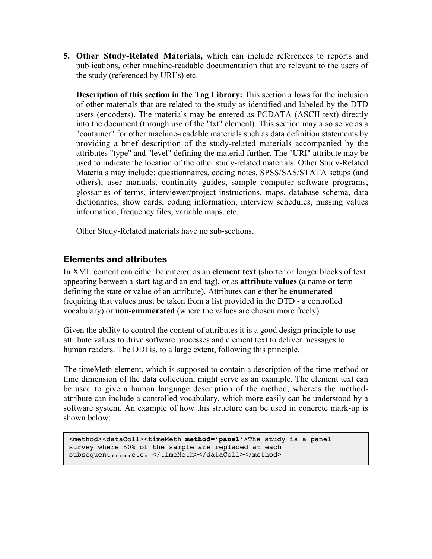**5. Other Study-Related Materials,** which can include references to reports and publications, other machine-readable documentation that are relevant to the users of the study (referenced by URI's) etc.

**Description of this section in the Tag Library:** This section allows for the inclusion of other materials that are related to the study as identified and labeled by the DTD users (encoders). The materials may be entered as PCDATA (ASCII text) directly into the document (through use of the "txt" element). This section may also serve as a "container" for other machine-readable materials such as data definition statements by providing a brief description of the study-related materials accompanied by the attributes "type" and "level" defining the material further. The "URI" attribute may be used to indicate the location of the other study-related materials. Other Study-Related Materials may include: questionnaires, coding notes, SPSS/SAS/STATA setups (and others), user manuals, continuity guides, sample computer software programs, glossaries of terms, interviewer/project instructions, maps, database schema, data dictionaries, show cards, coding information, interview schedules, missing values information, frequency files, variable maps, etc.

Other Study-Related materials have no sub-sections.

#### **Elements and attributes**

In XML content can either be entered as an **element text** (shorter or longer blocks of text appearing between a start-tag and an end-tag), or as **attribute values** (a name or term defining the state or value of an attribute). Attributes can either be **enumerated** (requiring that values must be taken from a list provided in the DTD - a controlled vocabulary) or **non-enumerated** (where the values are chosen more freely).

Given the ability to control the content of attributes it is a good design principle to use attribute values to drive software processes and element text to deliver messages to human readers. The DDI is, to a large extent, following this principle.

The timeMeth element, which is supposed to contain a description of the time method or time dimension of the data collection, might serve as an example. The element text can be used to give a human language description of the method, whereas the methodattribute can include a controlled vocabulary, which more easily can be understood by a software system. An example of how this structure can be used in concrete mark-up is shown below:

```
<method><dataColl><timeMeth method='panel'>The study is a panel
survey where 50% of the sample are replaced at each
subsequent.....etc. </timeMeth></dataColl></method>
```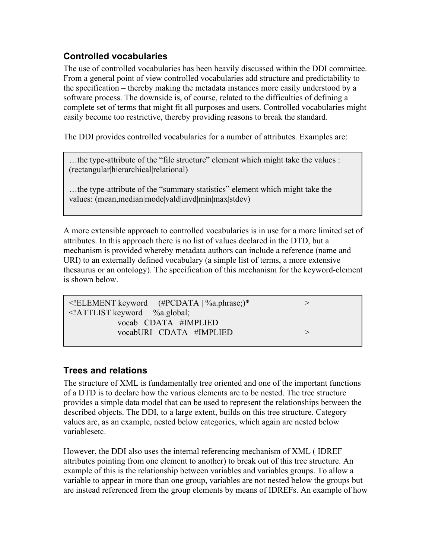## **Controlled vocabularies**

The use of controlled vocabularies has been heavily discussed within the DDI committee. From a general point of view controlled vocabularies add structure and predictability to the specification – thereby making the metadata instances more easily understood by a software process. The downside is, of course, related to the difficulties of defining a complete set of terms that might fit all purposes and users. Controlled vocabularies might easily become too restrictive, thereby providing reasons to break the standard.

The DDI provides controlled vocabularies for a number of attributes. Examples are:

…the type-attribute of the "file structure" element which might take the values : (rectangular|hierarchical|relational)

…the type-attribute of the "summary statistics" element which might take the values: (mean,median|mode|vald|invd|min|max|stdev)

A more extensible approach to controlled vocabularies is in use for a more limited set of attributes. In this approach there is no list of values declared in the DTD, but a mechanism is provided whereby metadata authors can include a reference (name and URI) to an externally defined vocabulary (a simple list of terms, a more extensive thesaurus or an ontology). The specification of this mechanism for the keyword-element is shown below.

| $\leq$ ELEMENT keyword (#PCDATA   %a.phrase;)*<br>$\le$ !ATTLIST keyword %a.global; |  |
|-------------------------------------------------------------------------------------|--|
| vocab CDATA #IMPLIED                                                                |  |
| vocabURI CDATA #IMPLIED                                                             |  |
|                                                                                     |  |

#### **Trees and relations**

…

The structure of XML is fundamentally tree oriented and one of the important functions of a DTD is to declare how the various elements are to be nested. The tree structure provides a simple data model that can be used to represent the relationships between the described objects. The DDI, to a large extent, builds on this tree structure. Category values are, as an example, nested below categories, which again are nested below variablesetc.

However, the DDI also uses the internal referencing mechanism of XML ( IDREF attributes pointing from one element to another) to break out of this tree structure. An example of this is the relationship between variables and variables groups. To allow a variable to appear in more than one group, variables are not nested below the groups but are instead referenced from the group elements by means of IDREFs. An example of how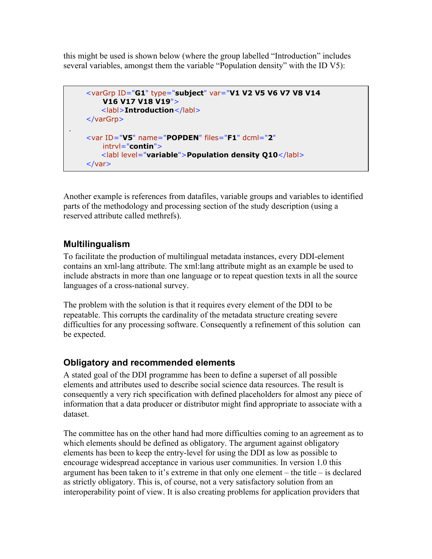this might be used is shown below (where the group labelled "Introduction" includes several variables, amongst them the variable "Population density" with the ID V5):

```
<varGrp ID="G1" type="subject" var="V1 V2 V5 V6 V7 V8 V14
        V16 V17 V18 V19">
        <labl>Introduction</labl>
    </varGrp>
.
    <var ID="V5" name="POPDEN" files="F1" dcml="2"
        intrvl="contin">
        <labl level="variable">Population density Q10</labl>
    \langle \text{var} \rangle
```
Another example is references from datafiles, variable groups and variables to identified parts of the methodology and processing section of the study description (using a reserved attribute called methrefs).

#### **Multilingualism**

To facilitate the production of multilingual metadata instances, every DDI-element contains an xml-lang attribute. The xml:lang attribute might as an example be used to include abstracts in more than one language or to repeat question texts in all the source languages of a cross-national survey.

The problem with the solution is that it requires every element of the DDI to be repeatable. This corrupts the cardinality of the metadata structure creating severe difficulties for any processing software. Consequently a refinement of this solution can be expected.

#### **Obligatory and recommended elements**

A stated goal of the DDI programme has been to define a superset of all possible elements and attributes used to describe social science data resources. The result is consequently a very rich specification with defined placeholders for almost any piece of information that a data producer or distributor might find appropriate to associate with a dataset.

The committee has on the other hand had more difficulties coming to an agreement as to which elements should be defined as obligatory. The argument against obligatory elements has been to keep the entry-level for using the DDI as low as possible to encourage widespread acceptance in various user communities. In version 1.0 this argument has been taken to it's extreme in that only one element – the title – is declared as strictly obligatory. This is, of course, not a very satisfactory solution from an interoperability point of view. It is also creating problems for application providers that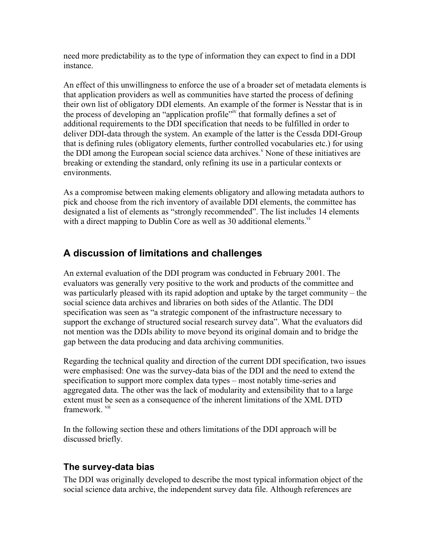need more predictability as to the type of information they can expect to find in a DDI instance.

An effect of this unwillingness to enforce the use of a broader set of metadata elements is that application providers as well as communities have started the process of defining their own list of obligatory DDI elements. An example of the former is Nesstar that is in the process of developing an "application profile"<sup>iv</sup> that formally defines a set of additional requirements to the DDI specification that needs to be fulfilled in order to deliver DDI-data through the system. An example of the latter is the Cessda DDI-Group that is defining rules (obligatory elements, further controlled vocabularies etc.) for using the DDI among the European social science data archives.<sup>v</sup> None of these initiatives are breaking or extending the standard, only refining its use in a particular contexts or environments.

As a compromise between making elements obligatory and allowing metadata authors to pick and choose from the rich inventory of available DDI elements, the committee has designated a list of elements as "strongly recommended". The list includes 14 elements with a direct mapping to Dublin Core as well as 30 additional elements. $\overline{v}$ 

# **A discussion of limitations and challenges**

An external evaluation of the DDI program was conducted in February 2001. The evaluators was generally very positive to the work and products of the committee and was particularly pleased with its rapid adoption and uptake by the target community – the social science data archives and libraries on both sides of the Atlantic. The DDI specification was seen as "a strategic component of the infrastructure necessary to support the exchange of structured social research survey data". What the evaluators did not mention was the DDIs ability to move beyond its original domain and to bridge the gap between the data producing and data archiving communities.

Regarding the technical quality and direction of the current DDI specification, two issues were emphasised: One was the survey-data bias of the DDI and the need to extend the specification to support more complex data types – most notably time-series and aggregated data. The other was the lack of modularity and extensibility that to a large extent must be seen as a consequence of the inherent limitations of the XML DTD framework vii

In the following section these and others limitations of the DDI approach will be discussed briefly.

#### **The survey-data bias**

The DDI was originally developed to describe the most typical information object of the social science data archive, the independent survey data file. Although references are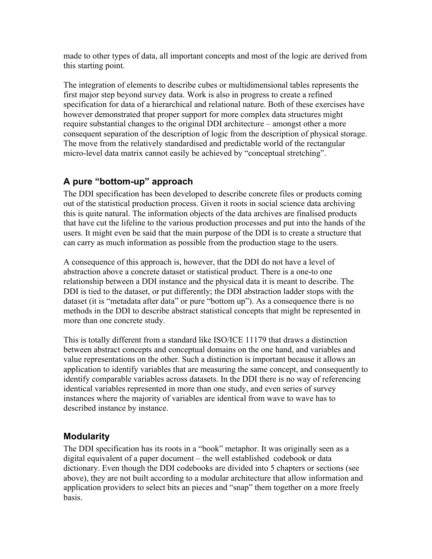made to other types of data, all important concepts and most of the logic are derived from this starting point.

The integration of elements to describe cubes or multidimensional tables represents the first major step beyond survey data. Work is also in progress to create a refined specification for data of a hierarchical and relational nature. Both of these exercises have however demonstrated that proper support for more complex data structures might require substantial changes to the original DDI architecture – amongst other a more consequent separation of the description of logic from the description of physical storage. The move from the relatively standardised and predictable world of the rectangular micro-level data matrix cannot easily be achieved by "conceptual stretching".

## **A pure "bottom-up" approach**

The DDI specification has been developed to describe concrete files or products coming out of the statistical production process. Given it roots in social science data archiving this is quite natural. The information objects of the data archives are finalised products that have cut the lifeline to the various production processes and put into the hands of the users. It might even be said that the main purpose of the DDI is to create a structure that can carry as much information as possible from the production stage to the users.

A consequence of this approach is, however, that the DDI do not have a level of abstraction above a concrete dataset or statistical product. There is a one-to one relationship between a DDI instance and the physical data it is meant to describe. The DDI is tied to the dataset, or put differently; the DDI abstraction ladder stops with the dataset (it is "metadata after data" or pure "bottom up"). As a consequence there is no methods in the DDI to describe abstract statistical concepts that might be represented in more than one concrete study.

This is totally different from a standard like ISO/ICE 11179 that draws a distinction between abstract concepts and conceptual domains on the one hand, and variables and value representations on the other. Such a distinction is important because it allows an application to identify variables that are measuring the same concept, and consequently to identify comparable variables across datasets. In the DDI there is no way of referencing identical variables represented in more than one study, and even series of survey instances where the majority of variables are identical from wave to wave has to described instance by instance.

#### **Modularity**

The DDI specification has its roots in a "book" metaphor. It was originally seen as a digital equivalent of a paper document – the well established codebook or data dictionary. Even though the DDI codebooks are divided into 5 chapters or sections (see above), they are not built according to a modular architecture that allow information and application providers to select bits an pieces and "snap" them together on a more freely basis.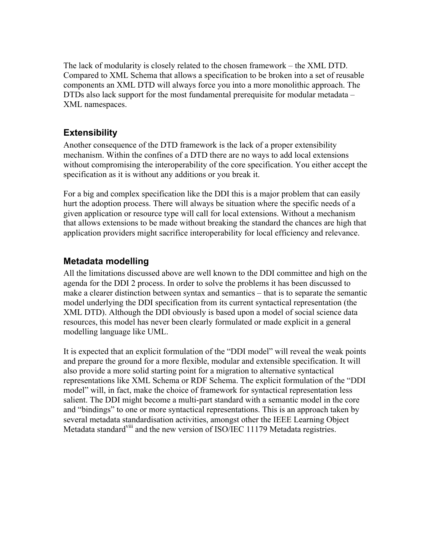The lack of modularity is closely related to the chosen framework – the XML DTD. Compared to XML Schema that allows a specification to be broken into a set of reusable components an XML DTD will always force you into a more monolithic approach. The DTDs also lack support for the most fundamental prerequisite for modular metadata – XML namespaces.

#### **Extensibility**

Another consequence of the DTD framework is the lack of a proper extensibility mechanism. Within the confines of a DTD there are no ways to add local extensions without compromising the interoperability of the core specification. You either accept the specification as it is without any additions or you break it.

For a big and complex specification like the DDI this is a major problem that can easily hurt the adoption process. There will always be situation where the specific needs of a given application or resource type will call for local extensions. Without a mechanism that allows extensions to be made without breaking the standard the chances are high that application providers might sacrifice interoperability for local efficiency and relevance.

#### **Metadata modelling**

All the limitations discussed above are well known to the DDI committee and high on the agenda for the DDI 2 process. In order to solve the problems it has been discussed to make a clearer distinction between syntax and semantics – that is to separate the semantic model underlying the DDI specification from its current syntactical representation (the XML DTD). Although the DDI obviously is based upon a model of social science data resources, this model has never been clearly formulated or made explicit in a general modelling language like UML.

It is expected that an explicit formulation of the "DDI model" will reveal the weak points and prepare the ground for a more flexible, modular and extensible specification. It will also provide a more solid starting point for a migration to alternative syntactical representations like XML Schema or RDF Schema. The explicit formulation of the "DDI model" will, in fact, make the choice of framework for syntactical representation less salient. The DDI might become a multi-part standard with a semantic model in the core and "bindings" to one or more syntactical representations. This is an approach taken by several metadata standardisation activities, amongst other the IEEE Learning Object Metadata standard<sup>viii</sup> and the new version of ISO/IEC 11179 Metadata registries.